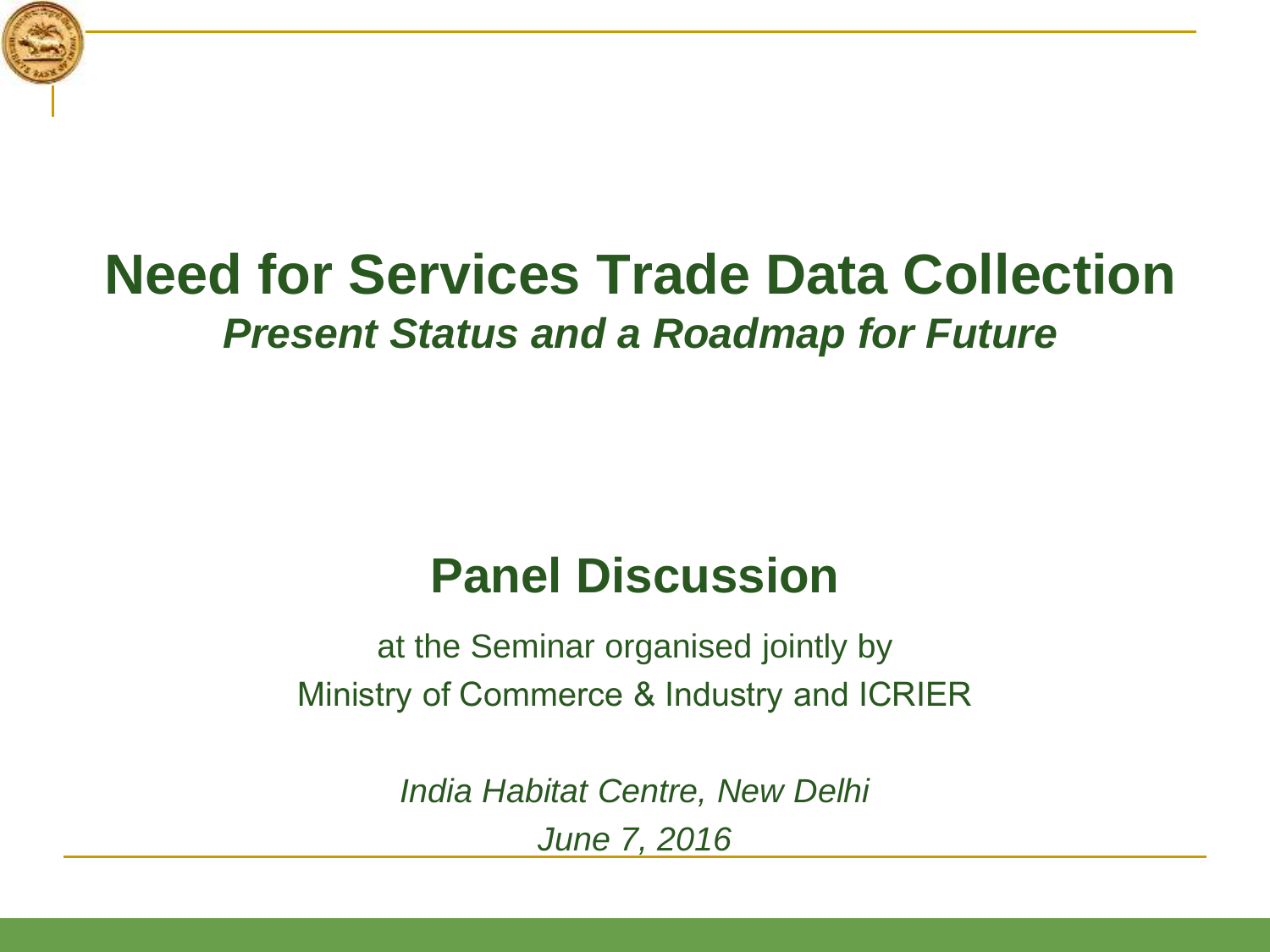

# **Need for Services Trade Data Collection**  *Present Status and a Roadmap for Future*

# **Panel Discussion**

at the Seminar organised jointly by Ministry of Commerce & Industry and ICRIER

> *India Habitat Centre, New Delhi June 7, 2016*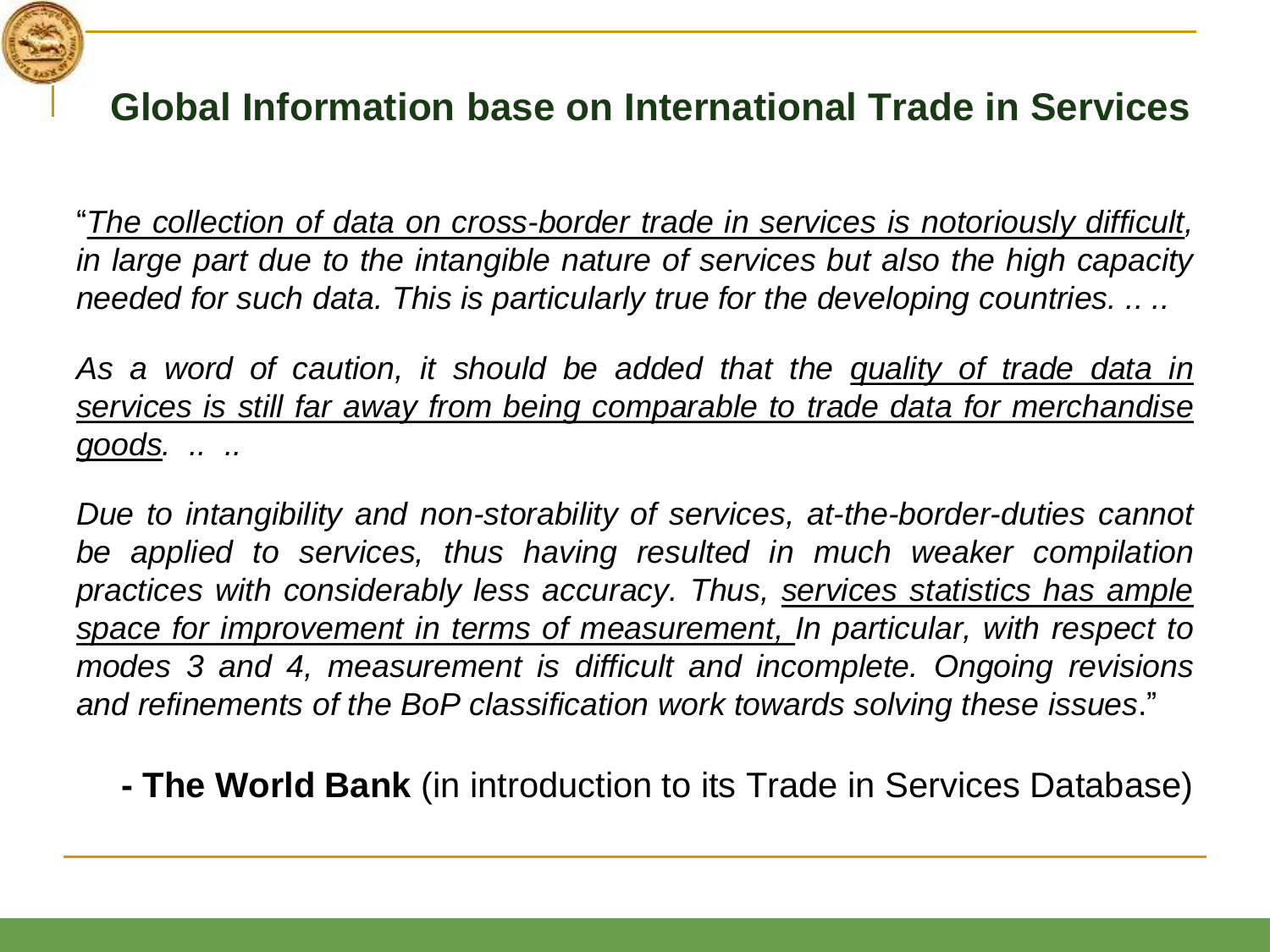

#### **Global Information base on International Trade in Services**

"*The collection of data on cross-border trade in services is notoriously difficult, in large part due to the intangible nature of services but also the high capacity needed for such data. This is particularly true for the developing countries. .. ..*

*As a word of caution, it should be added that the quality of trade data in services is still far away from being comparable to trade data for merchandise goods. .. ..*

*Due to intangibility and non-storability of services, at-the-border-duties cannot be applied to services, thus having resulted in much weaker compilation practices with considerably less accuracy. Thus, services statistics has ample space for improvement in terms of measurement, In particular, with respect to modes 3 and 4, measurement is difficult and incomplete. Ongoing revisions and refinements of the BoP classification work towards solving these issues*."

**- The World Bank** (in introduction to its Trade in Services Database)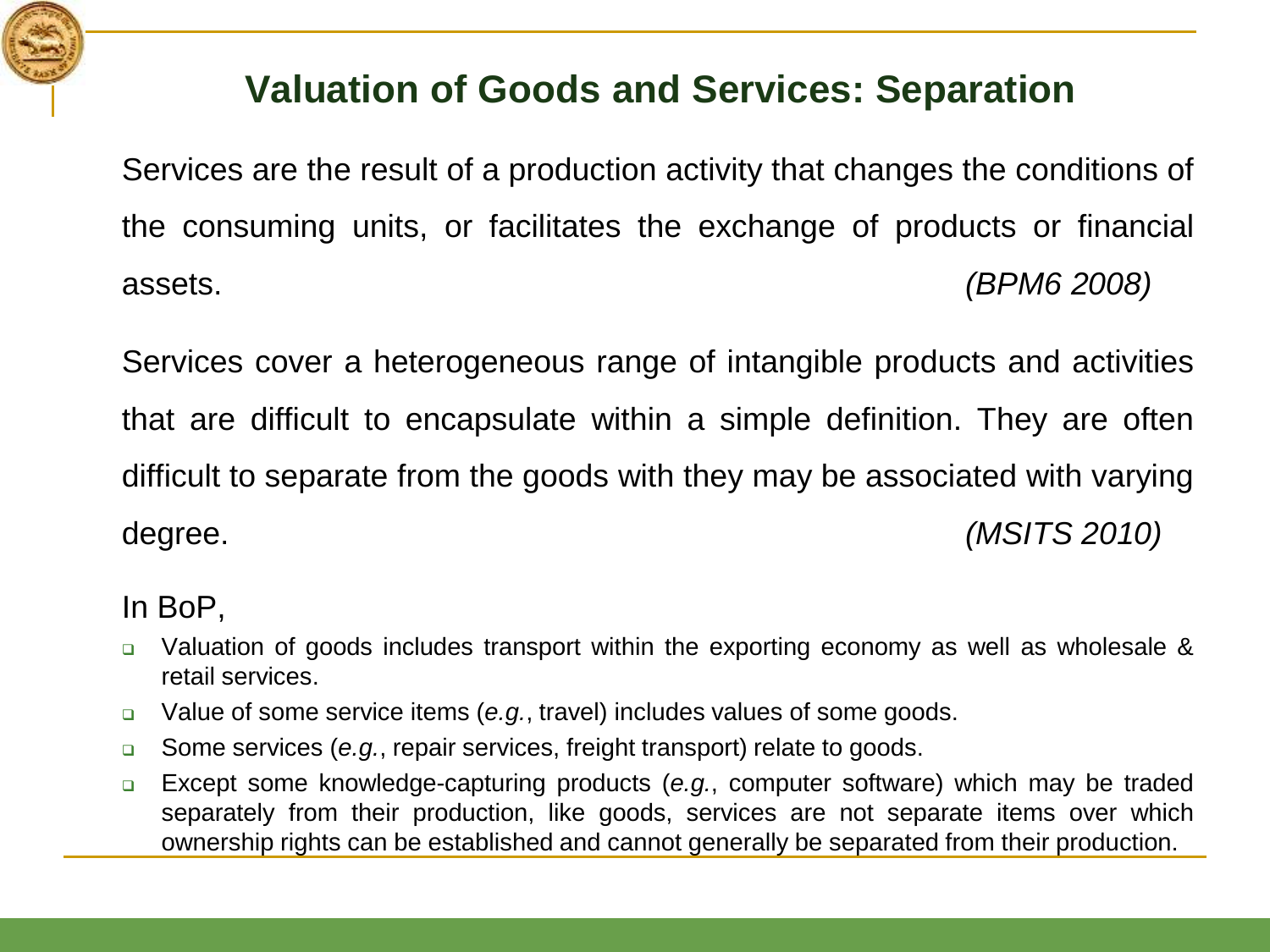

#### **Valuation of Goods and Services: Separation**

Services are the result of a production activity that changes the conditions of the consuming units, or facilitates the exchange of products or financial assets. *(BPM6 2008)*

Services cover a heterogeneous range of intangible products and activities that are difficult to encapsulate within a simple definition. They are often difficult to separate from the goods with they may be associated with varying degree. *(MSITS 2010)*

#### In BoP,

- □ Valuation of goods includes transport within the exporting economy as well as wholesale & retail services.
- Value of some service items (*e.g.*, travel) includes values of some goods.
- Some services (*e.g.*, repair services, freight transport) relate to goods.
- Except some knowledge-capturing products (*e.g.*, computer software) which may be traded separately from their production, like goods, services are not separate items over which ownership rights can be established and cannot generally be separated from their production.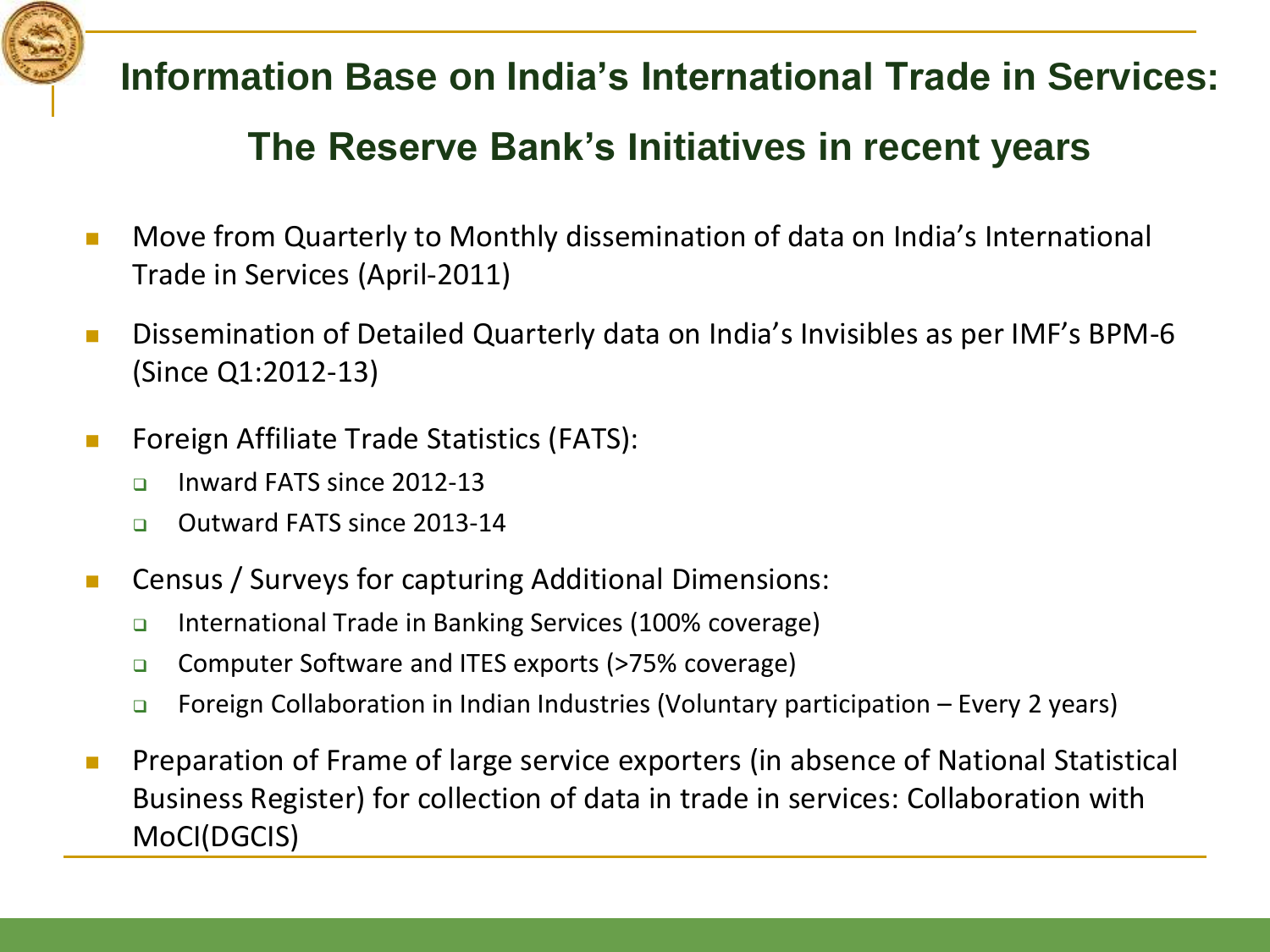

**Information Base on India's International Trade in Services: The Reserve Bank's Initiatives in recent years**

- **Nove from Quarterly to Monthly dissemination of data on India's International** Trade in Services (April-2011)
- **Dissemination of Detailed Quarterly data on India's Invisibles as per IMF's BPM-6** (Since Q1:2012-13)
- **Foreign Affiliate Trade Statistics (FATS):** 
	- $\Box$  Inward FATS since 2012-13
	- □ Outward FATS since 2013-14
- **EXEC** Census / Surveys for capturing Additional Dimensions:
	- International Trade in Banking Services (100% coverage)
	- □ Computer Software and ITES exports (>75% coverage)
	- □ Foreign Collaboration in Indian Industries (Voluntary participation Every 2 years)
- **Preparation of Frame of large service exporters (in absence of National Statistical** Business Register) for collection of data in trade in services: Collaboration with MoCI(DGCIS)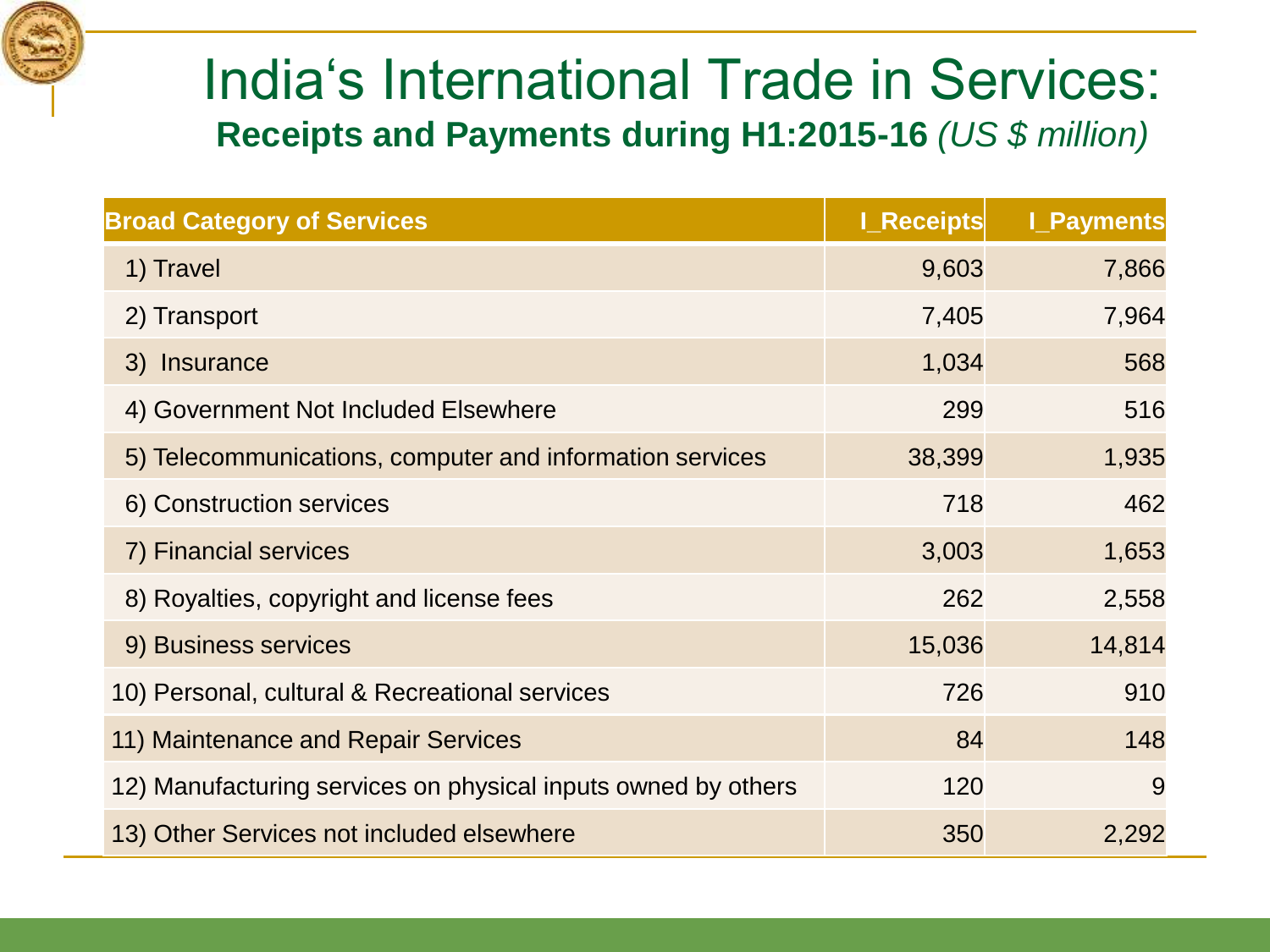

# India's International Trade in Services: **Receipts and Payments during H1:2015-16** *(US \$ million)*

| <b>Broad Category of Services</b>                             | <b>I_Receipts</b> | <b>I_Payments</b> |
|---------------------------------------------------------------|-------------------|-------------------|
| 1) Travel                                                     | 9,603             | 7,866             |
| 2) Transport                                                  | 7,405             | 7,964             |
| 3) Insurance                                                  | 1,034             | 568               |
| 4) Government Not Included Elsewhere                          | 299               | 516               |
| 5) Telecommunications, computer and information services      | 38,399            | 1,935             |
| 6) Construction services                                      | 718               | 462               |
| 7) Financial services                                         | 3,003             | 1,653             |
| 8) Royalties, copyright and license fees                      | 262               | 2,558             |
| 9) Business services                                          | 15,036            | 14,814            |
| 10) Personal, cultural & Recreational services                | 726               | 910               |
| 11) Maintenance and Repair Services                           | 84                | 148               |
| 12) Manufacturing services on physical inputs owned by others | 120               | 9                 |
| 13) Other Services not included elsewhere                     | 350               | 2,292             |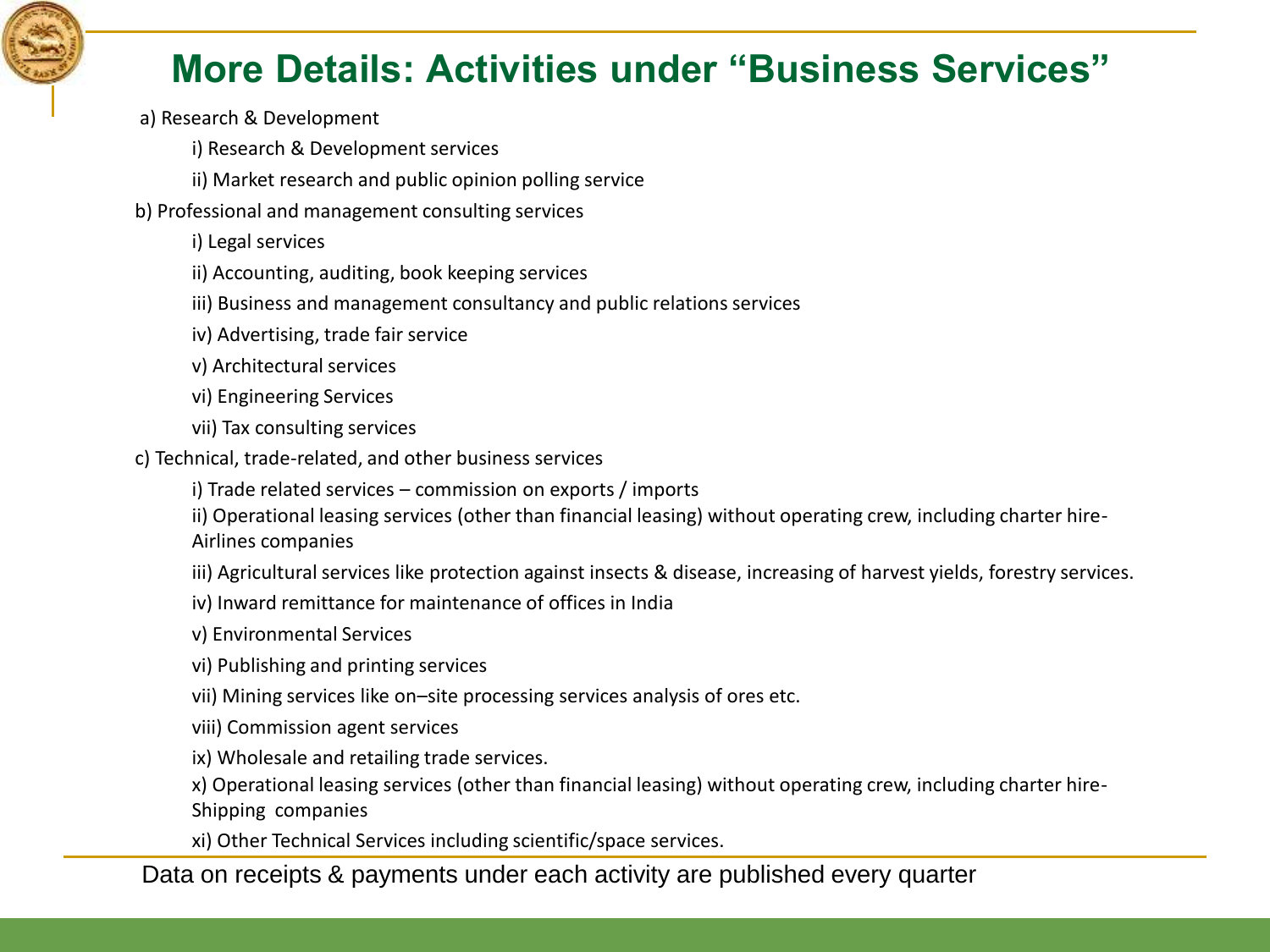

#### **More Details: Activities under "Business Services"**

- a) Research & Development
	- i) Research & Development services
	- ii) Market research and public opinion polling service
- b) Professional and management consulting services
	- i) Legal services
	- ii) Accounting, auditing, book keeping services
	- iii) Business and management consultancy and public relations services
	- iv) Advertising, trade fair service
	- v) Architectural services
	- vi) Engineering Services
	- vii) Tax consulting services
- c) Technical, trade-related, and other business services
	- i) Trade related services commission on exports / imports
	- ii) Operational leasing services (other than financial leasing) without operating crew, including charter hire-Airlines companies
	- iii) Agricultural services like protection against insects & disease, increasing of harvest yields, forestry services.
	- iv) Inward remittance for maintenance of offices in India
	- v) Environmental Services
	- vi) Publishing and printing services
	- vii) Mining services like on–site processing services analysis of ores etc.
	- viii) Commission agent services
	- ix) Wholesale and retailing trade services.
	- x) Operational leasing services (other than financial leasing) without operating crew, including charter hire-Shipping companies
	- xi) Other Technical Services including scientific/space services.

#### Data on receipts & payments under each activity are published every quarter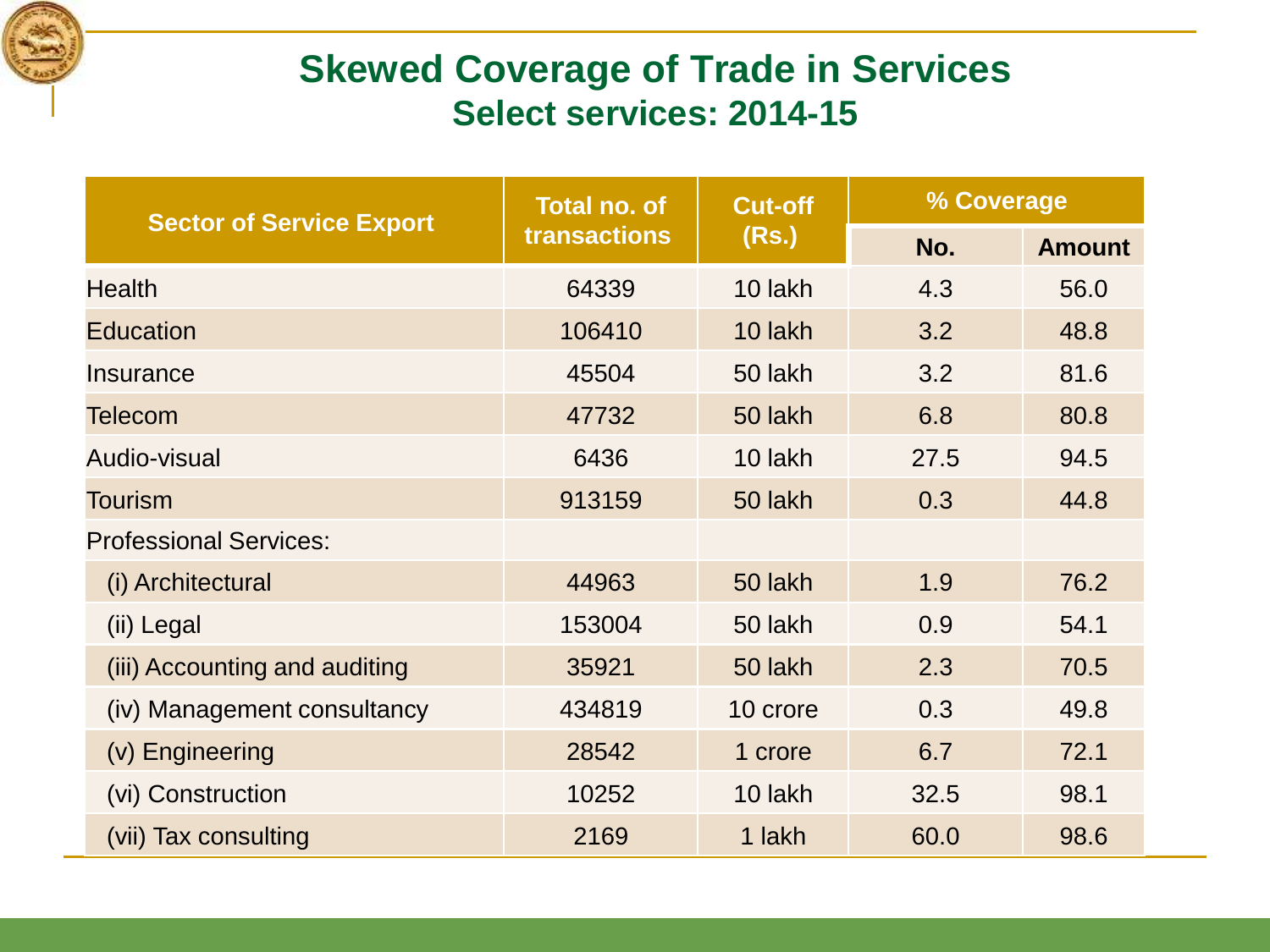

#### **Skewed Coverage of Trade in Services Select services: 2014-15**

| <b>Sector of Service Export</b> | <b>Total no. of</b> | <b>Cut-off</b> | % Coverage |               |
|---------------------------------|---------------------|----------------|------------|---------------|
| transactions                    |                     | (Rs.)          | No.        | <b>Amount</b> |
| <b>Health</b>                   | 64339               | 10 lakh        | 4.3        | 56.0          |
| <b>Education</b>                | 106410              | 10 lakh        | 3.2        | 48.8          |
| Insurance                       | 45504               | 50 lakh        | 3.2        | 81.6          |
| <b>Telecom</b>                  | 47732               | 50 lakh        | 6.8        | 80.8          |
| Audio-visual                    | 6436                | 10 lakh        | 27.5       | 94.5          |
| Tourism                         | 913159              | 50 lakh        | 0.3        | 44.8          |
| <b>Professional Services:</b>   |                     |                |            |               |
| (i) Architectural               | 44963               | 50 lakh        | 1.9        | 76.2          |
| (ii) Legal                      | 153004              | 50 lakh        | 0.9        | 54.1          |
| (iii) Accounting and auditing   | 35921               | 50 lakh        | 2.3        | 70.5          |
| (iv) Management consultancy     | 434819              | 10 crore       | 0.3        | 49.8          |
| (v) Engineering                 | 28542               | 1 crore        | 6.7        | 72.1          |
| (vi) Construction               | 10252               | 10 lakh        | 32.5       | 98.1          |
| (vii) Tax consulting            | 2169                | 1 lakh         | 60.0       | 98.6          |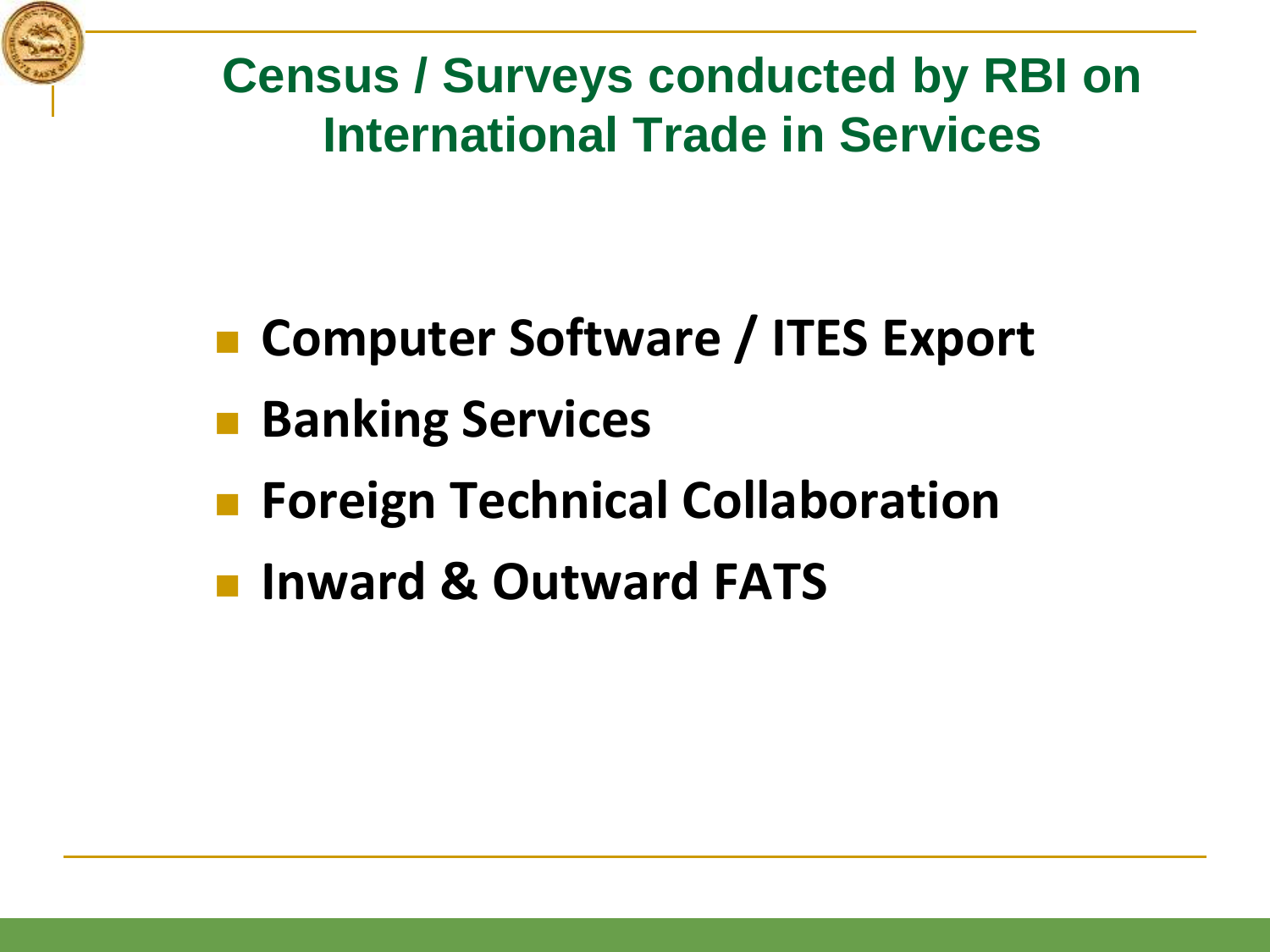

**Census / Surveys conducted by RBI on International Trade in Services**

- Computer Software / ITES Export
- **Banking Services**
- **Foreign Technical Collaboration**
- **Inward & Outward FATS**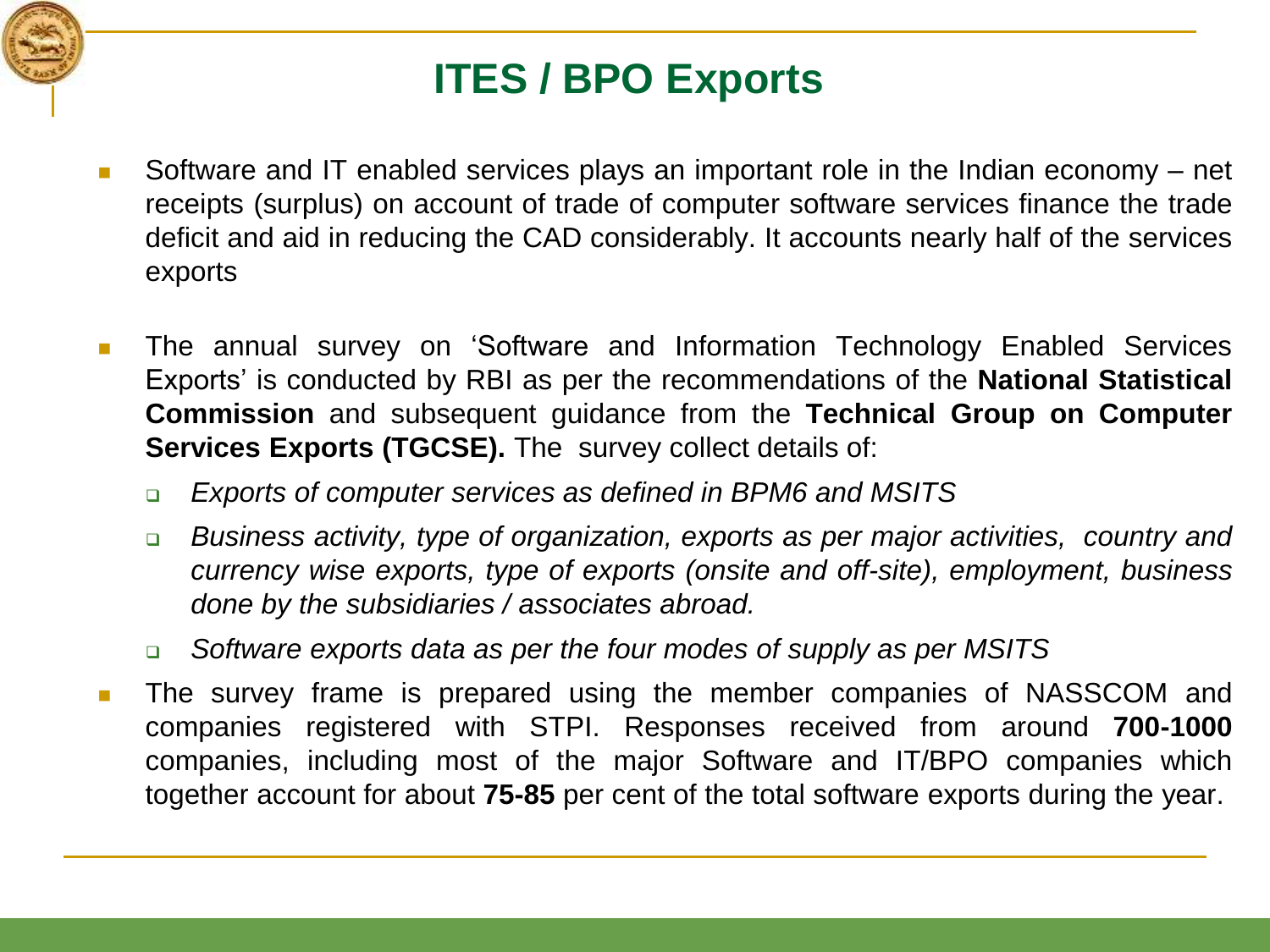

## **ITES / BPO Exports**

- Software and IT enabled services plays an important role in the Indian economy net receipts (surplus) on account of trade of computer software services finance the trade deficit and aid in reducing the CAD considerably. It accounts nearly half of the services exports
- **The annual survey on 'Software and Information Technology Enabled Services** Exports' is conducted by RBI as per the recommendations of the **National Statistical Commission** and subsequent guidance from the **Technical Group on Computer Services Exports (TGCSE).** The survey collect details of:
	- *Exports of computer services as defined in BPM6 and MSITS*
	- *Business activity, type of organization, exports as per major activities, country and currency wise exports, type of exports (onsite and off-site), employment, business done by the subsidiaries / associates abroad.*
	- *Software exports data as per the four modes of supply as per MSITS*
- **The survey frame is prepared using the member companies of NASSCOM and** companies registered with STPI. Responses received from around **700-1000** companies, including most of the major Software and IT/BPO companies which together account for about **75-85** per cent of the total software exports during the year.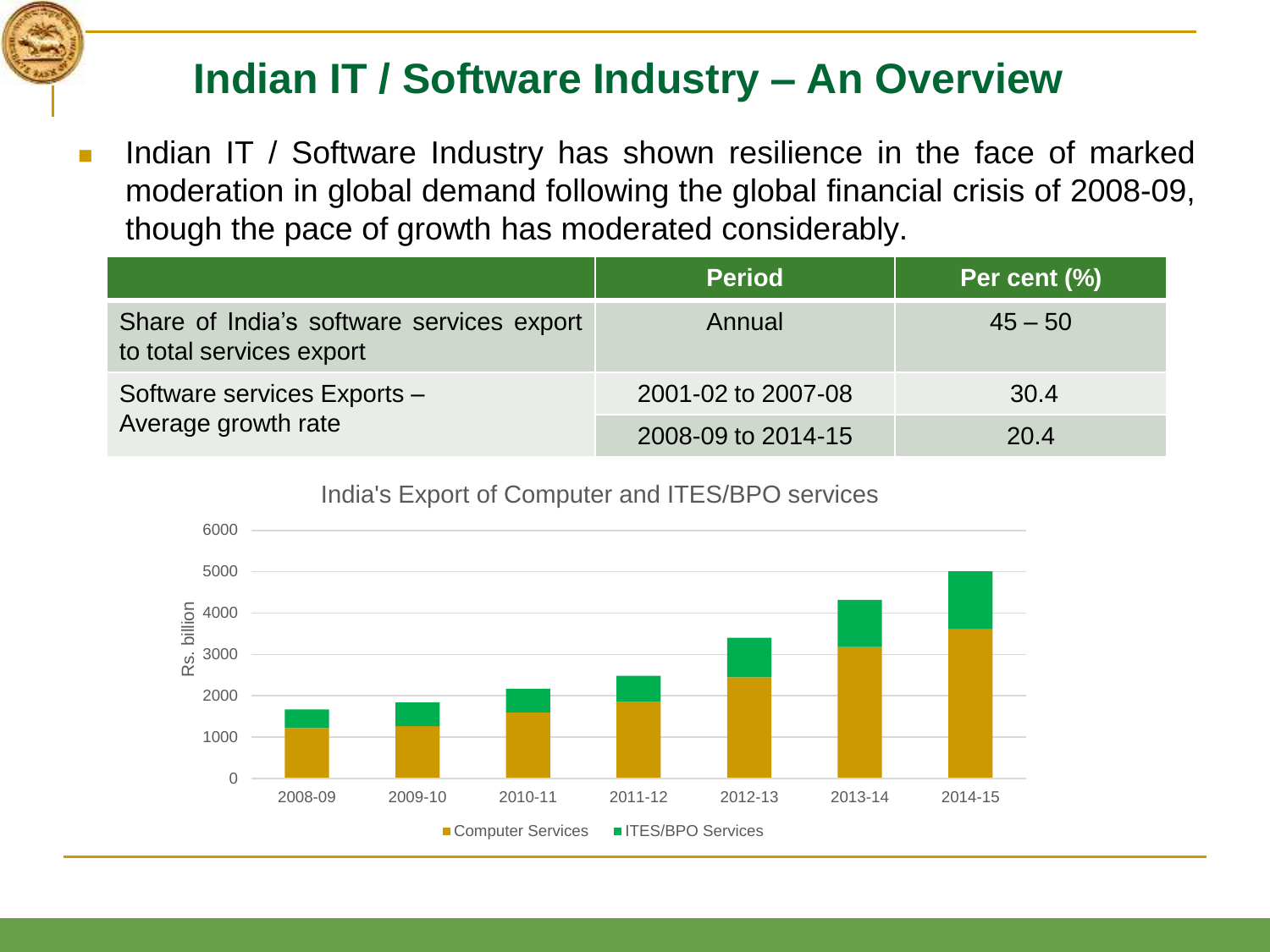### **Indian IT / Software Industry – An Overview**

 Indian IT / Software Industry has shown resilience in the face of marked moderation in global demand following the global financial crisis of 2008-09, though the pace of growth has moderated considerably.

|                                                                       | <b>Period</b>      | Per cent (%) |
|-----------------------------------------------------------------------|--------------------|--------------|
| Share of India's software services export<br>to total services export | Annual             | $45 - 50$    |
| Software services Exports -<br>Average growth rate                    | 2001-02 to 2007-08 | 30.4         |
|                                                                       | 2008-09 to 2014-15 | 20.4         |

0 1000 2000 3000 4000 5000 6000 2008-09 2009-10 2010-11 2011-12 2012-13 2013-14 2014-15 Rs. billion ■ Computer Services ■ ITES/BPO Services

India's Export of Computer and ITES/BPO services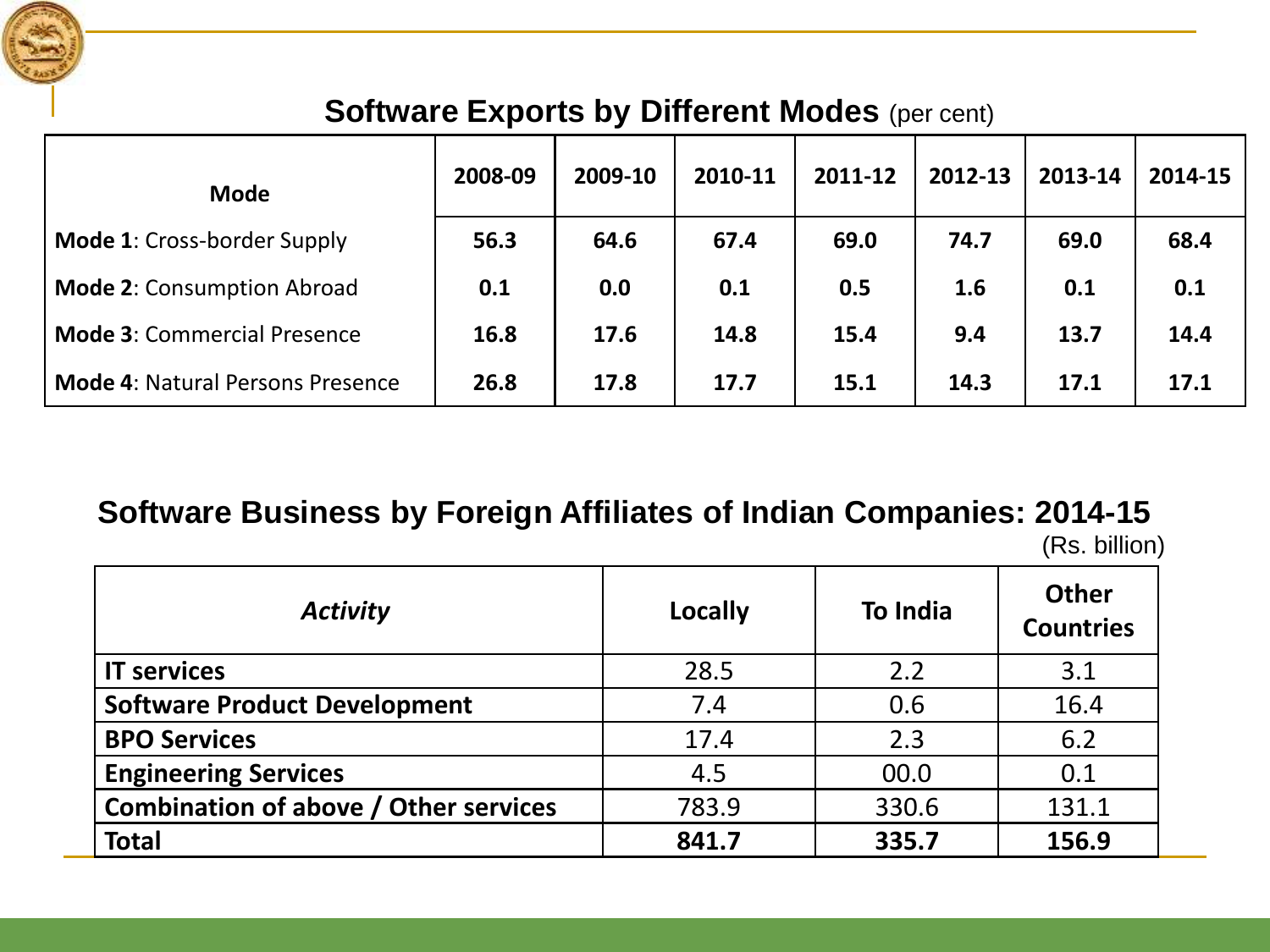

#### **Software Exports by Different Modes (per cent)**

| <b>Mode</b>                             | 2008-09 | 2009-10 | 2010-11 | 2011-12 | 2012-13 | 2013-14 | 2014-15 |
|-----------------------------------------|---------|---------|---------|---------|---------|---------|---------|
| <b>Mode 1: Cross-border Supply</b>      | 56.3    | 64.6    | 67.4    | 69.0    | 74.7    | 69.0    | 68.4    |
| <b>Mode 2: Consumption Abroad</b>       | 0.1     | 0.0     | 0.1     | 0.5     | 1.6     | 0.1     | 0.1     |
| <b>Mode 3: Commercial Presence</b>      | 16.8    | 17.6    | 14.8    | 15.4    | 9.4     | 13.7    | 14.4    |
| <b>Mode 4: Natural Persons Presence</b> | 26.8    | 17.8    | 17.7    | 15.1    | 14.3    | 17.1    | 17.1    |

#### **Software Business by Foreign Affiliates of Indian Companies: 2014-15**

(Rs. billion)

| <b>Activity</b>                              | Locally | <b>To India</b> | <b>Other</b><br><b>Countries</b> |
|----------------------------------------------|---------|-----------------|----------------------------------|
| <b>IT services</b>                           | 28.5    | 2.2             | 3.1                              |
| <b>Software Product Development</b>          | 7.4     | 0.6             | 16.4                             |
| <b>BPO Services</b>                          | 17.4    | 2.3             | 6.2                              |
| <b>Engineering Services</b>                  | 4.5     | 00.0            | 0.1                              |
| <b>Combination of above / Other services</b> | 783.9   | 330.6           | 131.1                            |
| <b>Total</b>                                 | 841.7   | 335.7           | 156.9                            |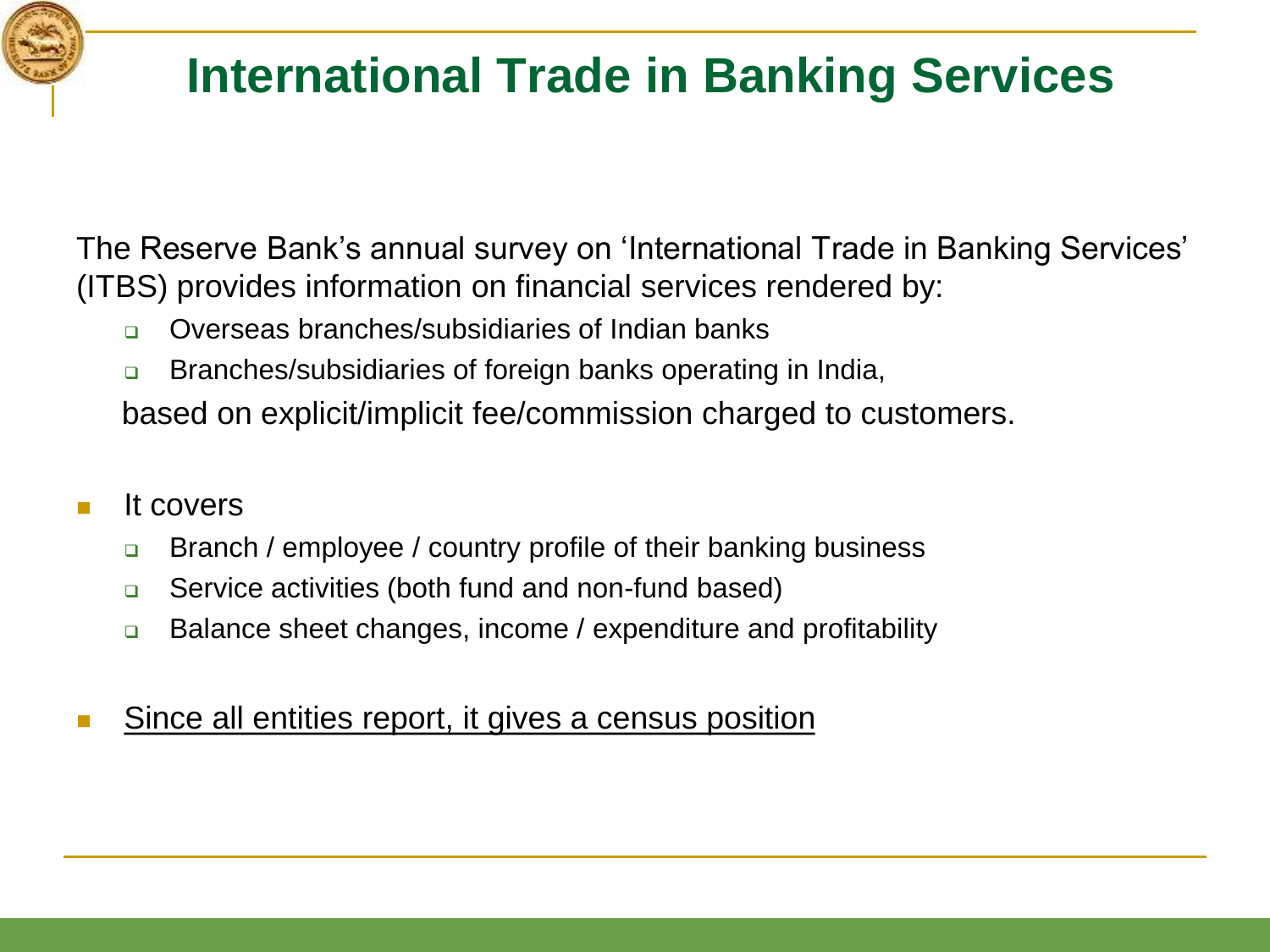# **International Trade in Banking Services**

The Reserve Bank's annual survey on 'International Trade in Banking Services' (ITBS) provides information on financial services rendered by:

- □ Overseas branches/subsidiaries of Indian banks
- **Branches/subsidiaries of foreign banks operating in India,**

based on explicit/implicit fee/commission charged to customers.

- It covers
	- **□** Branch / employee / country profile of their banking business
	- **□** Service activities (both fund and non-fund based)
	- **□** Balance sheet changes, income / expenditure and profitability
- Since all entities report, it gives a census position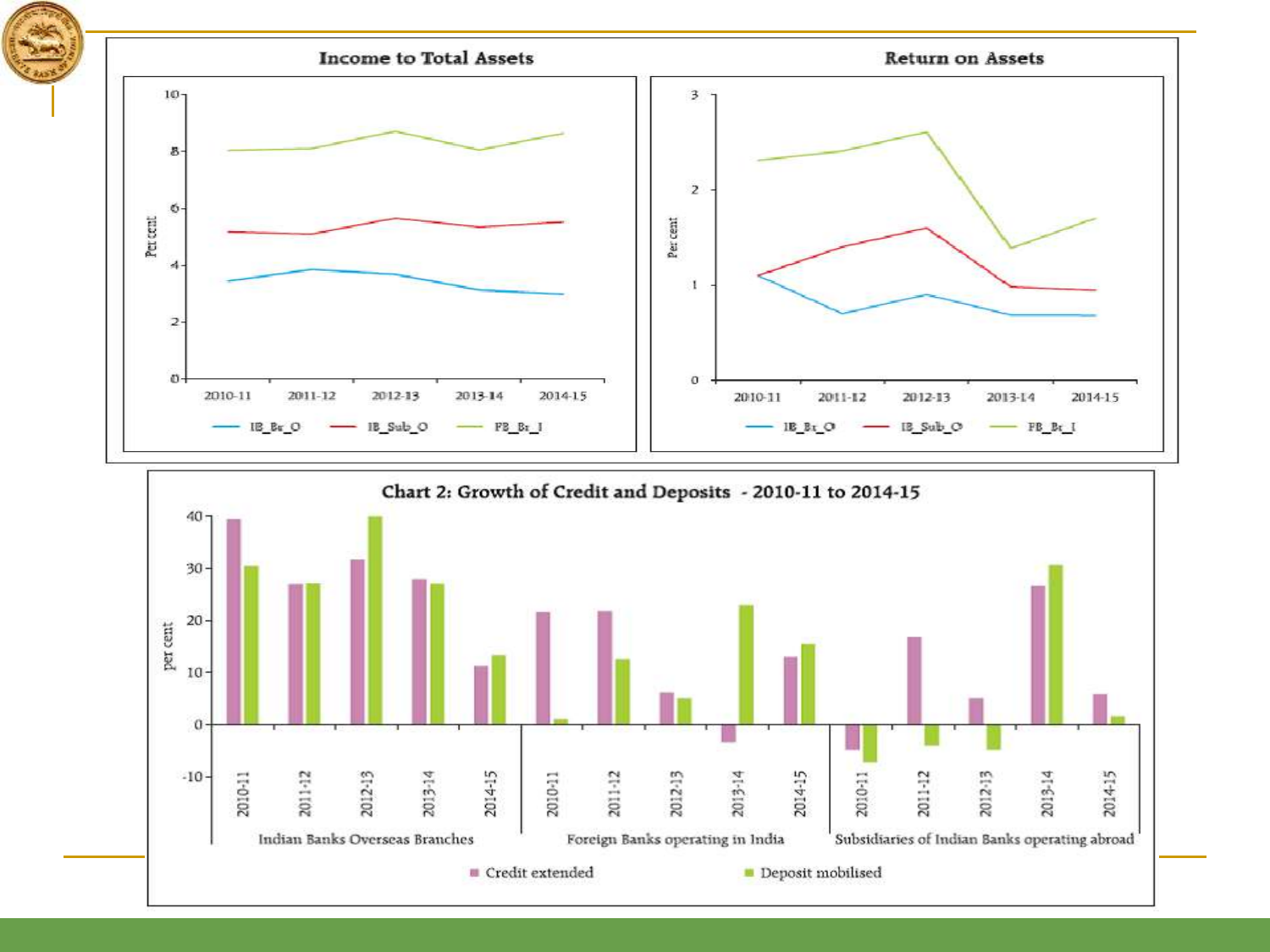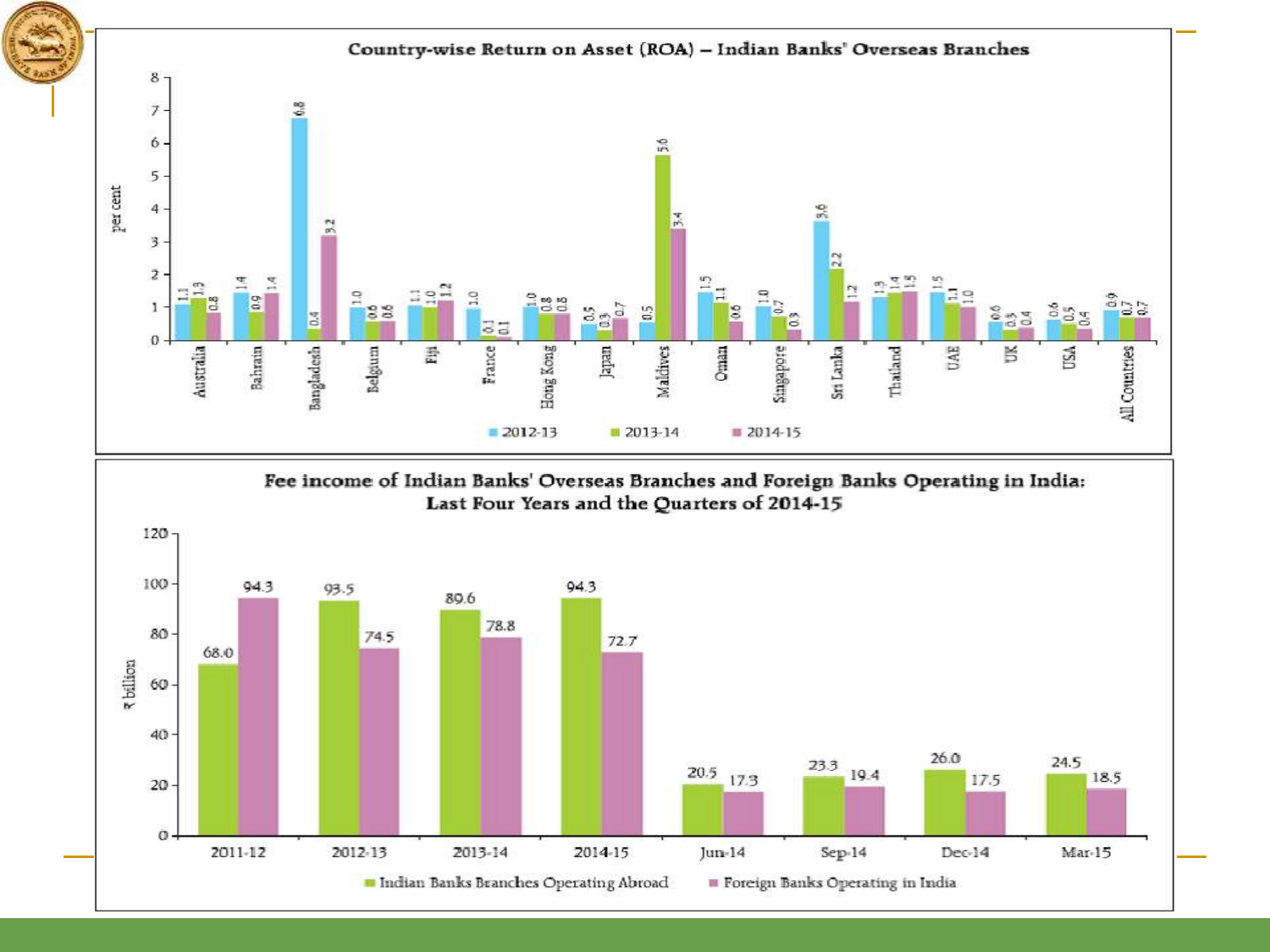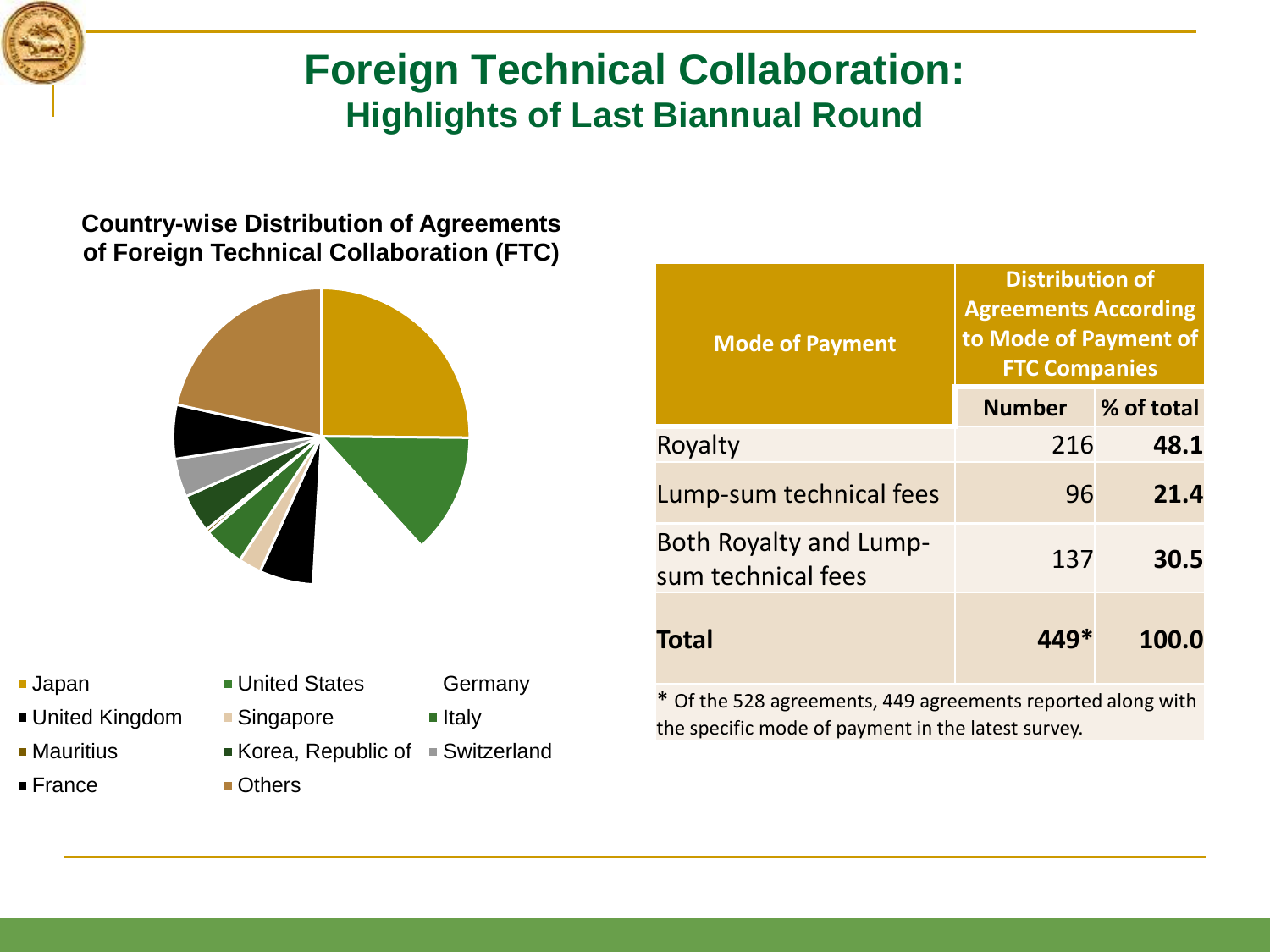

#### **Foreign Technical Collaboration: Highlights of Last Biannual Round**

#### **Country-wise Distribution of Agreements of Foreign Technical Collaboration (FTC)**



- 
- United Kingdom Bingapore Italy
- 
- France **Others**
- **Japan United States** Germany
	-
- Mauritius Korea, Republic of Switzerland
	-

| <b>Mode of Payment</b>                              | <b>Agreements According</b><br>to Mode of Payment of<br><b>FTC Companies</b> |            |  |
|-----------------------------------------------------|------------------------------------------------------------------------------|------------|--|
|                                                     | <b>Number</b>                                                                | % of total |  |
| Royalty                                             | 216                                                                          | 48.1       |  |
| Lump-sum technical fees                             | 96                                                                           | 21.4       |  |
| <b>Both Royalty and Lump-</b><br>sum technical fees | 137                                                                          | 30.5       |  |
| <b>Total</b>                                        | 449*                                                                         | 100.0      |  |

**Distribution of** 

\* Of the 528 agreements, 449 agreements reported along with the specific mode of payment in the latest survey.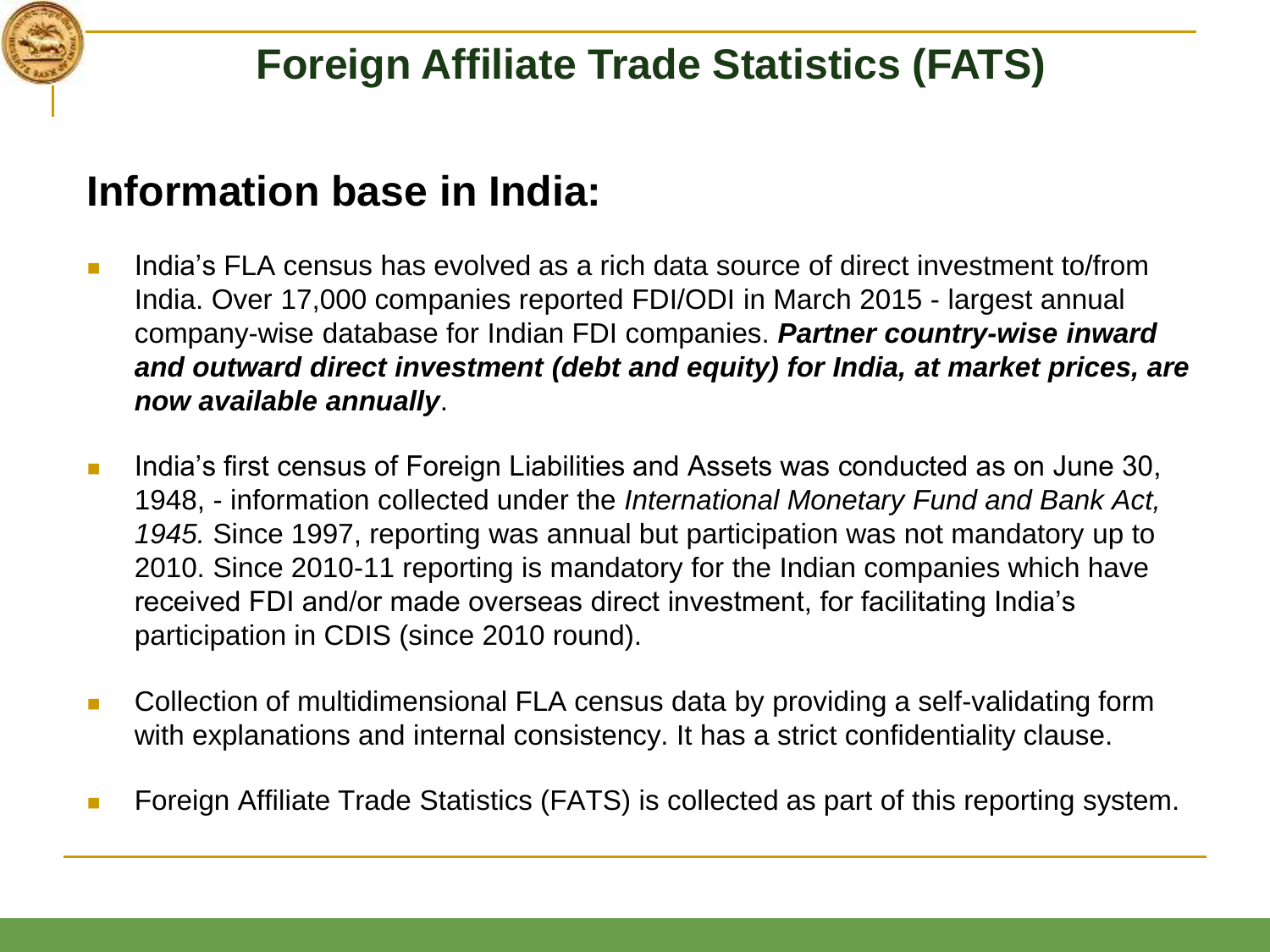

## **Information base in India:**

- I lindia's FLA census has evolved as a rich data source of direct investment to/from India. Over 17,000 companies reported FDI/ODI in March 2015 - largest annual company-wise database for Indian FDI companies. *Partner country-wise inward and outward direct investment (debt and equity) for India, at market prices, are now available annually*.
- India's first census of Foreign Liabilities and Assets was conducted as on June 30, 1948, - information collected under the *International Monetary Fund and Bank Act, 1945.* Since 1997, reporting was annual but participation was not mandatory up to 2010. Since 2010-11 reporting is mandatory for the Indian companies which have received FDI and/or made overseas direct investment, for facilitating India's participation in CDIS (since 2010 round).
- Collection of multidimensional FLA census data by providing a self-validating form with explanations and internal consistency. It has a strict confidentiality clause.
- Foreign Affiliate Trade Statistics (FATS) is collected as part of this reporting system.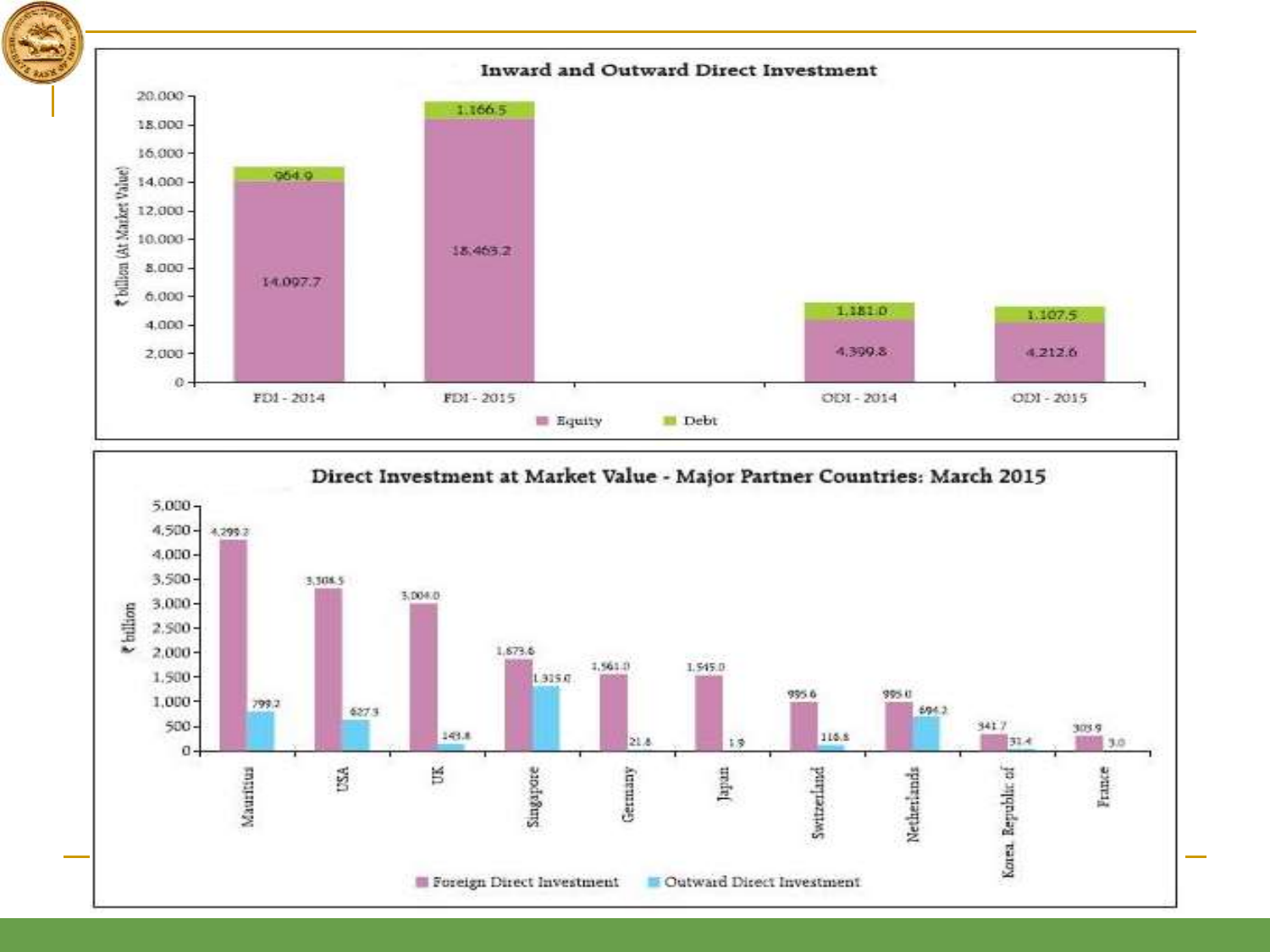

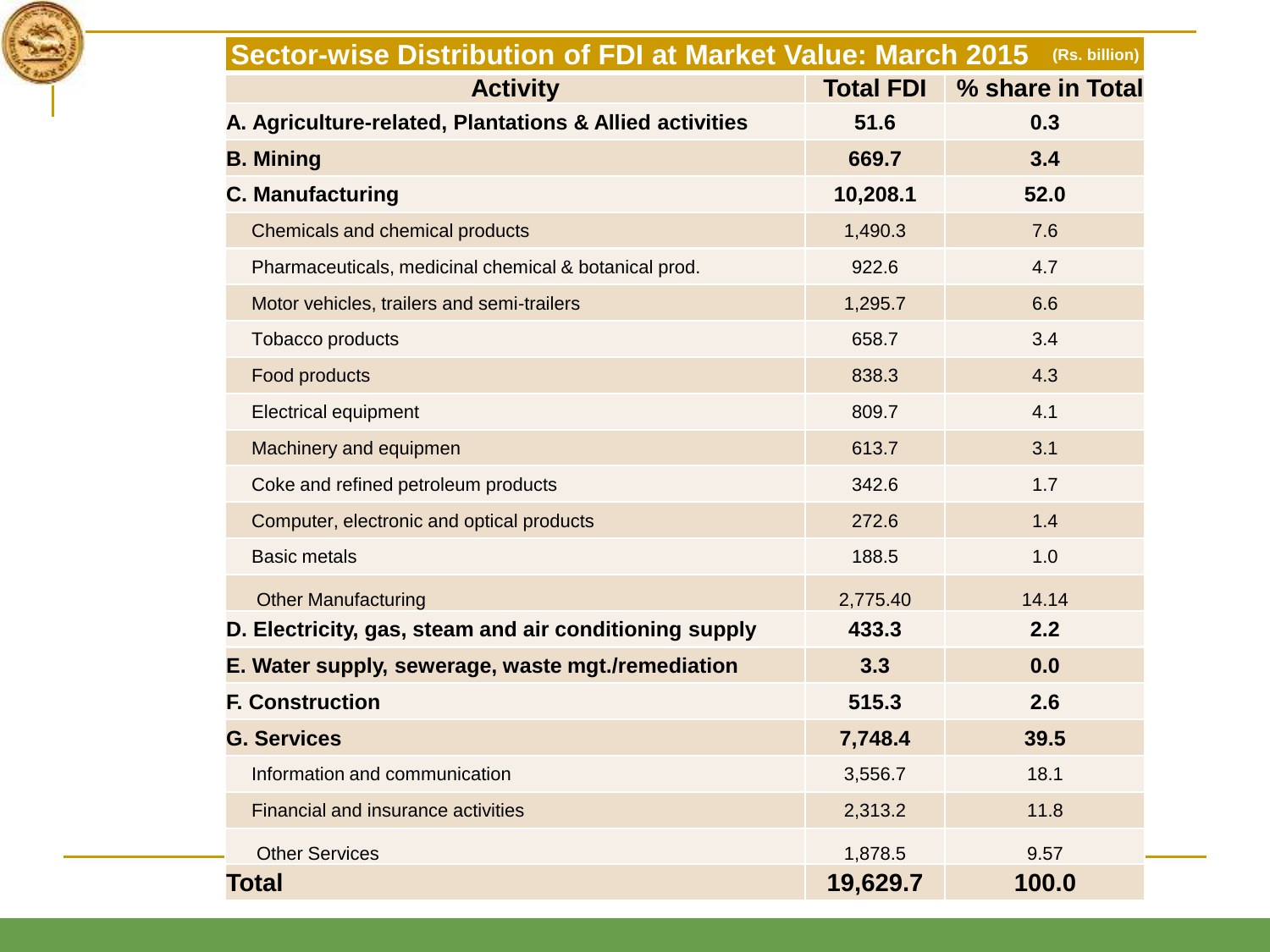

| Sector-wise Distribution of FDI at Market Value: March 2015<br>(Rs. billion) |                  |                  |  |  |
|------------------------------------------------------------------------------|------------------|------------------|--|--|
| <b>Activity</b>                                                              | <b>Total FDI</b> | % share in Total |  |  |
| A. Agriculture-related, Plantations & Allied activities                      | 51.6             | 0.3              |  |  |
| <b>B. Mining</b>                                                             | 669.7            | 3.4              |  |  |
| <b>C. Manufacturing</b>                                                      | 10,208.1         | 52.0             |  |  |
| Chemicals and chemical products                                              | 1,490.3          | 7.6              |  |  |
| Pharmaceuticals, medicinal chemical & botanical prod.                        | 922.6            | 4.7              |  |  |
| Motor vehicles, trailers and semi-trailers                                   | 1,295.7          | 6.6              |  |  |
| Tobacco products                                                             | 658.7            | 3.4              |  |  |
| Food products                                                                | 838.3            | 4.3              |  |  |
| <b>Electrical equipment</b>                                                  | 809.7            | 4.1              |  |  |
| Machinery and equipmen                                                       | 613.7            | 3.1              |  |  |
| Coke and refined petroleum products                                          | 342.6            | 1.7              |  |  |
| Computer, electronic and optical products                                    | 272.6            | 1.4              |  |  |
| <b>Basic metals</b>                                                          | 188.5            | 1.0              |  |  |
| <b>Other Manufacturing</b>                                                   | 2,775.40         | 14.14            |  |  |
| D. Electricity, gas, steam and air conditioning supply                       | 433.3            | 2.2              |  |  |
| E. Water supply, sewerage, waste mgt./remediation                            | 3.3              | 0.0              |  |  |
| <b>F. Construction</b>                                                       | 515.3            | 2.6              |  |  |
| <b>G. Services</b>                                                           | 7,748.4          | 39.5             |  |  |
| Information and communication                                                | 3,556.7          | 18.1             |  |  |
| Financial and insurance activities                                           | 2,313.2          | 11.8             |  |  |
| <b>Other Services</b>                                                        | 1,878.5          | 9.57             |  |  |
| <b>Total</b>                                                                 | 19,629.7         | 100.0            |  |  |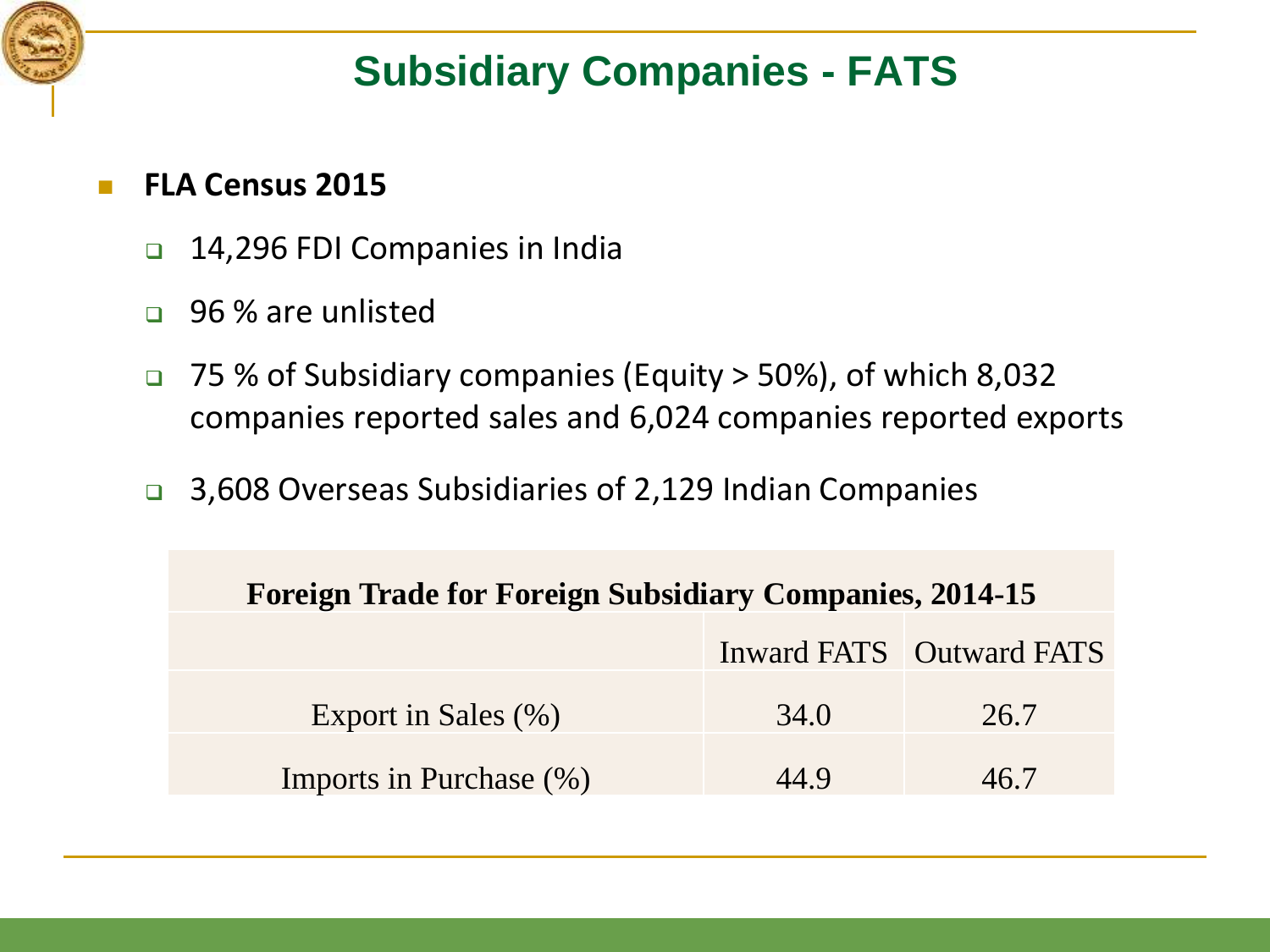

## **Subsidiary Companies - FATS**

#### **FLA Census 2015**

- □ 14,296 FDI Companies in India
- 96 % are unlisted
- □ 75 % of Subsidiary companies (Equity > 50%), of which 8,032 companies reported sales and 6,024 companies reported exports
- □ 3,608 Overseas Subsidiaries of 2,129 Indian Companies

| <b>Foreign Trade for Foreign Subsidiary Companies, 2014-15</b> |      |                          |  |  |
|----------------------------------------------------------------|------|--------------------------|--|--|
|                                                                |      | Inward FATS Outward FATS |  |  |
| Export in Sales (%)                                            | 34.0 | 26.7                     |  |  |
| Imports in Purchase (%)                                        | 44 Q | 46 7                     |  |  |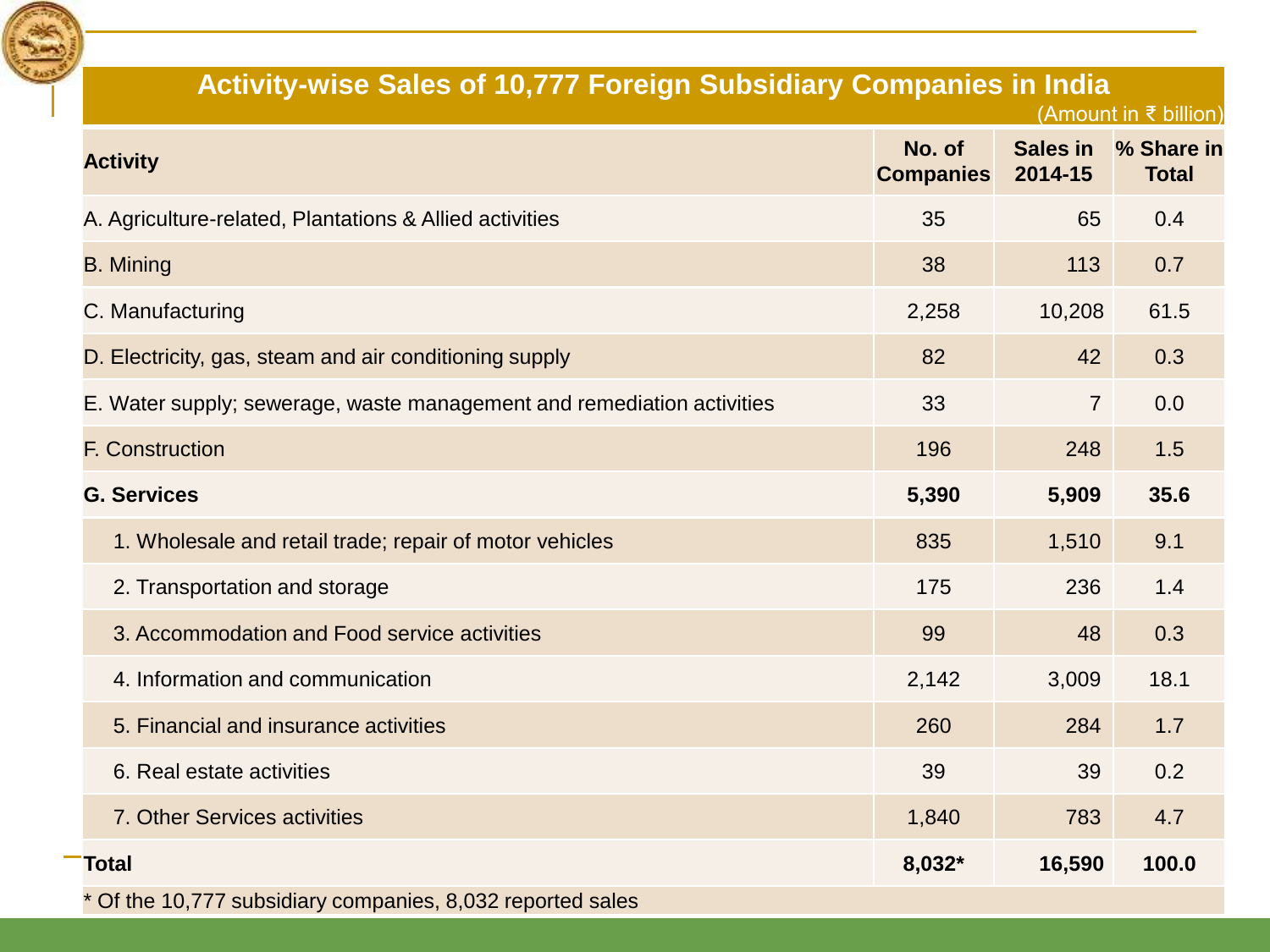

| Activity-wise Sales of 10,777 Foreign Subsidiary Companies in India    |                            |                     | (Amount in ₹ billion)      |
|------------------------------------------------------------------------|----------------------------|---------------------|----------------------------|
| <b>Activity</b>                                                        | No. of<br><b>Companies</b> | Sales in<br>2014-15 | % Share in<br><b>Total</b> |
| A. Agriculture-related, Plantations & Allied activities                | 35                         | 65                  | 0.4                        |
| <b>B.</b> Mining                                                       | 38                         | 113                 | 0.7                        |
| C. Manufacturing                                                       | 2,258                      | 10,208              | 61.5                       |
| D. Electricity, gas, steam and air conditioning supply                 | 82                         | 42                  | 0.3                        |
| E. Water supply; sewerage, waste management and remediation activities | 33                         | $\overline{7}$      | 0.0                        |
| F. Construction                                                        | 196                        | 248                 | 1.5                        |
| <b>G. Services</b>                                                     | 5,390                      | 5,909               | 35.6                       |
| 1. Wholesale and retail trade; repair of motor vehicles                | 835                        | 1,510               | 9.1                        |
| 2. Transportation and storage                                          | 175                        | 236                 | 1.4                        |
| 3. Accommodation and Food service activities                           | 99                         | 48                  | 0.3                        |
| 4. Information and communication                                       | 2,142                      | 3,009               | 18.1                       |
| 5. Financial and insurance activities                                  | 260                        | 284                 | 1.7                        |
| 6. Real estate activities                                              | 39                         | 39                  | 0.2                        |
| 7. Other Services activities                                           | 1,840                      | 783                 | 4.7                        |
| <b>Total</b>                                                           | 8,032*                     | 16,590              | 100.0                      |

\* Of the 10,777 subsidiary companies, 8,032 reported sales